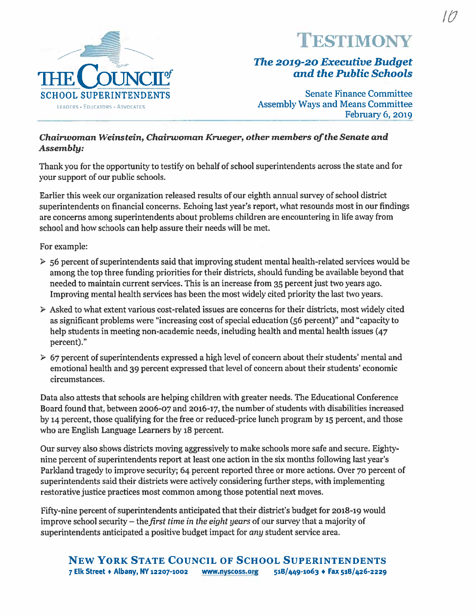

## **ESTIMONY**

# The 2019-20 Executive Budget and the Public Schools<br>Senate Finance Committee

February 6, <sup>2019</sup>

### Chairwoman Weinstein, Chairwoman Krueger, other members of the Senate and Assembly:

Thank you for the opportunity to testify on behalf of school superintendents across the state and for your suppor<sup>t</sup> of our public schools.

Earlier this week our organization released results of our eighth annual survey of school district superintendents on financial concerns. Echoing last year's report, what resounds most in our findings are concerns among superintendents about problems children are encountering in life away from school and how schools can help assure their needs will be met.

For example:

- $\triangleright$  56 percent of superintendents said that improving student mental health-related services would be among the top three funding priorities for their districts, should funding be available beyond that needed to maintain current services. This is an increase from 35 percent just two years ago. Improving mental health services has been the most widely cited priority' the last two years.
- $\triangleright$  Asked to what extent various cost-related issues are concerns for their districts, most widely cited as significant problems were "increasing cost of special education (56 percent)" and "capacity' to help students in meeting non-academic needs, including health and mental health issues (47 percent)."
- $\geq 67$  percent of superintendents expressed a high level of concern about their students' mental and emotional health and 39 percen<sup>t</sup> expressed that level of concern about their students' economic circumstances.

Data also attests that schools are helping children with greater needs. The Educational Conference Board found that, between 2006-07 and 2016-17, the number of students with disabilities increased by <sup>14</sup> percent, those qualifying for the free or reduced-price lunch program by <sup>15</sup> percent, and those who are English Language Learners by 18 percent.

Our survey also shows districts moving aggressively to make schools more safe and secure. Eightynine percen<sup>t</sup> of superintendents repor<sup>t</sup> at least one action in the six months following last year's Parkland tragedy to improve security; 64 percent reported three or more actions. Over 70 percent of superintendents said their districts were actively considering further steps, with implementing restorative justice practices most common among those potential next moves.

Fifty-nine percen<sup>t</sup> of superintendents anticipated that their district's budget for 2018-19 would improve school security  $-$  the *first time in the eight years* of our survey that a majority of superintendents anticipated <sup>a</sup> positive budget impact for any student service area.

## NEW YORK STATE COUNCIL OF SCHOOL SUPERINTENDENTS 7 Elk Street + Albany, NY 12207-1002 www.nyscoss.org 518/449-1063 + Fax 518/426-2229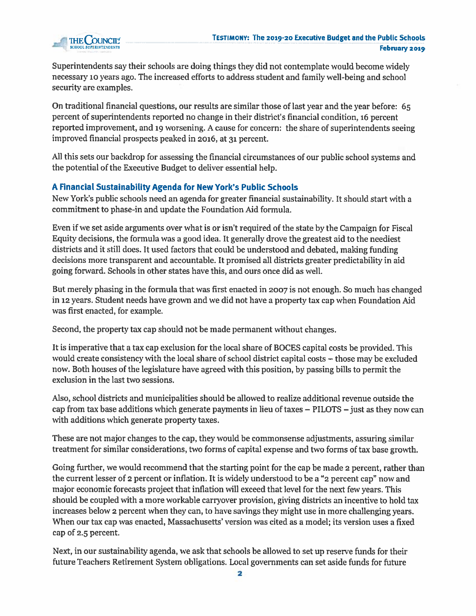

Superintendents say their schools are doing things they did not contemplate would become widely necessary io years ago. The increased efforts to address student and family well-being and school security are examples.

On traditional financial questions, our results are similar those of last year and the year before: 65 percent of superintendents reported no change in their district's financial condition, 16 percent reported improvement, and <sup>19</sup> worsening. <sup>A</sup> cause for concern: the share of superintendents seeing improved financial prospects peaked in 2016, at <sup>31</sup> percent.

MI this sets our backdrop for assessing the financial circumstances of our public school systems and the potential of the Executive Budget to deliver essential help.

### A Financial Sustainability Agenda for New York's Public Schools

New York's public schools need an agenda for greater financial sustainability. It should start with <sup>a</sup> commitment to phase-in and update the Foundation Aid formula.

Even if we set aside arguments over what is or isn't required of the state by the Campaign for Fiscal Equity decisions, the formula was <sup>a</sup> good idea. It generally drove the greatest aid to the neediest districts and it still does. It used factors that could be understood and debated, making funding decisions more transparent and accountable. It promised all districts greater predictability in aid going forward. Schools in other states have this, and ours once did as well.

But merely <sup>p</sup>hasing in the formula that was first enacted in <sup>2007</sup> is not enough. So much has changed in <sup>12</sup> years. Student needs have grown and we did not have <sup>a</sup> property tax cap when Foundation Aid was first enacted, for example.

Second, the property tax cap should not be made permanent without changes.

It is imperative that <sup>a</sup> tax cap exclusion for the local share of BOCES capital costs be provided. This would create consistency with the local share of school district capital costs — those may be excluded now. Both houses of the legislature have agreed with this position, by passing bills to permit the exclusion in the last two sessions.

Also, school districts and municipalities should be allowed to realize additional revenue outside the cap from tax base additions which generate payments in lieu of taxes — PILOTS —just as they now can with additions which generate property taxes.

These are not major changes to the cap, they would be commonsense adjustments, assuring similar treatment for similar considerations, two forms of capital expense and two forms of tax base growth.

Going further, we would recommend that the starting point for the cap be made <sup>2</sup> percent, rather than the current lesser of <sup>2</sup> percen<sup>t</sup> or inflation. It is widely understood to be <sup>a</sup> "2 percen<sup>t</sup> cap" now and major economic forecasts project that inflation will exceed that level for the next few years. This should be coupled with <sup>a</sup> more workable carryover provision, giving districts an incentive to hold tax increases below <sup>2</sup> percen<sup>t</sup> when they can, to have savings they might use in more challenging years. When our tax cap was enacted, Massachusetts' version was cited as <sup>a</sup> model; its version uses <sup>a</sup> fixed cap of 2.5 percent.

Next, in our sustainability agenda, we ask that schools be allowed to set up reserve funds for their future Teachers Retirement System obligations. Local governments can set aside funds for future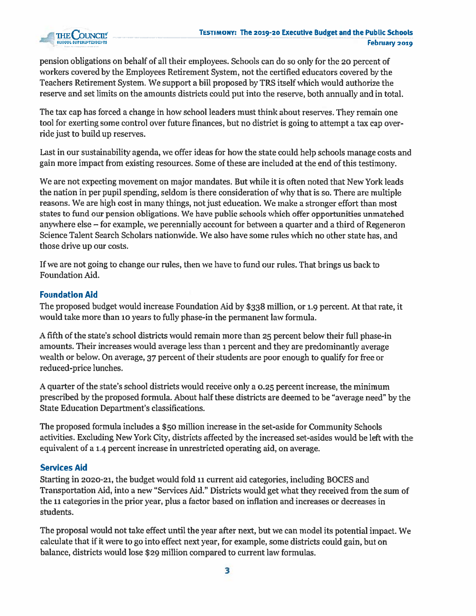

pension obligations on behalf of all their employees. Schools can do so only for the <sup>20</sup> percen<sup>t</sup> of workers covered by the Employees Retirement System, not the certified educators covered by the Teachers Retirement System. We suppor<sup>t</sup> <sup>a</sup> bill proposed by TRS itself which would authorize the reserve and set limits on the amounts districts could pu<sup>t</sup> into the reserve, both annually and in total.

The tax cap has forced <sup>a</sup> change in how school leaders must think about reserves. They remain one tool for exerting some control over future finances, but no district is going to attempt <sup>a</sup> tax cap over ride just to build up reserves.

Last in our sustainability agenda, we offer ideas for how the state could help schools manage costs and gain more impact from existing resources. Some of these are included at the end of this testimony.

We are not expecting movement on major mandates. But while it is often noted that New York leads the nation in per pupil spending, seldom is there consideration of why that is so. There are multiple reasons. We are high cost in many things, not just education. We make <sup>a</sup> stronger effort than most states to fund our pension obligations. We have public schools which offer opportunities unmatched anywhere else — for example, we perennially account for between <sup>a</sup> quarter and <sup>a</sup> third of Regeneron Science Talent Search Scholars nationwide. We also have some rules which no other state has, and those drive up our costs.

If we are not going to change our rules, then we have to fund our rules. That brings us back to Foundation Aid.

## Foundation Aid

The proposed budget would increase Foundation Aid by \$338 million, or 1.9 percent. At that rate, it would take more than <sup>10</sup> years to fully phase-in the permanen<sup>t</sup> law formula.

A fifth of the state's school districts would remain more than <sup>25</sup> percen<sup>t</sup> below their full phase-in amounts. Their increases would average less than <sup>1</sup> percen<sup>t</sup> and they are predominantly average wealth or below. On average, 37 percent of their students are poor enough to qualify for free or reduced-price lunches.

A quarter of the state's school districts would receive only <sup>a</sup> 0.25 percen<sup>t</sup> increase, the minimum prescribed by the proposed formula. About half these districts are deemed to be "average need" by the State Education Department's classifications.

The proposed formula includes <sup>a</sup> \$50 million increase in the set-aside for Community Schools activities. Excluding New York City, districts affected by the increased set-asides would be left with the equivalent of <sup>a</sup> 1.4 percen<sup>t</sup> increase in unrestricted operating aid, on average.

## Services Aid

Starting in 2020-21, the budget would fold 11 current aid categories, including BOCES and Transportation Aid, into <sup>a</sup> new "Services Aid." Districts would ge<sup>t</sup> what they received from the sum of the 11 categories in the prior year, plus a factor based on inflation and increases or decreases in students.

The proposal would not take effect until the year after next, but we can model its potential impact. We calculate that if it were to go into effect next year, for example, some districts could gain, but on balance, districts would lose \$29 million compared to current law formulas.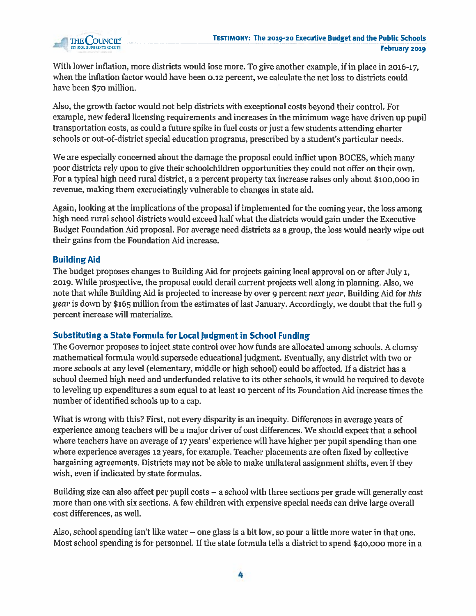

With lower inflation, more districts would lose more. To <sup>g</sup>ive another example, if in <sup>p</sup>lace in 2016-17, when the inflation factor would have been 0.12 percent, we calculate the net loss to districts could have been \$70 million.

Also, the growth factor would not help districts with exceptional costs beyond their control. For example, new federal licensing requirements and increases in the minimum wage have driven up pupil transportation costs, as could <sup>a</sup> future spike in fuel costs or just <sup>a</sup> few students attending charter schools or out-of-district special education programs, prescribed by <sup>a</sup> student's particular needs.

We are especially concerned about the damage the proposa<sup>l</sup> could inflict upon BOCES, which many poor districts rely upon to give their schoolchildren opportunities they could not offer on their own. For a typical high need rural district, a 2 percent property tax increase raises only about \$100,000 in revenue, making them excruciatingly vulnerable to changes in state aid.

Again, looking at the implications of the proposa<sup>l</sup> if implemented for the coming year, the loss among high need rural school districts would exceed half what the districts would gain under the Executive Budget Foundation Aid proposal. For average need districts as <sup>a</sup> group, the loss would nearly wipe out their gains from the Foundation Aid increase.

## Building Aid

The budget proposes changes to Building Aid for projects gaining local approval on or after July i, 2019. While prospective, the proposa<sup>l</sup> could derail current projects well along in <sup>p</sup>lanning. Also, we note that while Building Aid is projected to increase by over 9 percent next year, Building Aid for this year is down by \$165 million from the estimates of last January. Accordingly, we doubt that the full 9 percen<sup>t</sup> increase will materialize.

#### Substituting <sup>a</sup> State Formula for Local judgment in School Funding

The Governor proposes to inject state control over how funds are allocated among schools. A clumsy mathematical formula would supersede educational judgment. Eventually, any district with two or more schools at any level (elementary, middle or high school) could be affected. If <sup>a</sup> district has <sup>a</sup> school deemed high need and underfunded relative to its other schools, it would be required to devote to leveling up expenditures <sup>a</sup> sum equal to at least io percen<sup>t</sup> of its Foundation Aid increase times the number of identified schools up to <sup>a</sup> cap.

What is wrong with this? First, not every disparity is an inequity. Differences in average years of experience among teachers will be <sup>a</sup> major driver of cost differences. We should expec<sup>t</sup> that <sup>a</sup> school where teachers have an average of <sup>17</sup> years' experience will have higher per pupil spending than one where experience averages <sup>12</sup> years, for example. Teacher <sup>p</sup>lacements are often fixed by collective bargaining agreements. Districts may not be able to make unilateral assignment shifts, even if they wish, even if indicated by state formulas.

Building size can also affect per pupil costs — <sup>a</sup> school with three sections per grade will generally cost more than one with six sections. <sup>A</sup> few children with expensive special needs can drive large overall cost differences, as well,

Also, school spending isn't like water  $-\,$  one glass is a bit low, so pour a little more water in that one. Most school spending is for personnel. If the state formula tells <sup>a</sup> district to spend \$40,000 more in <sup>a</sup>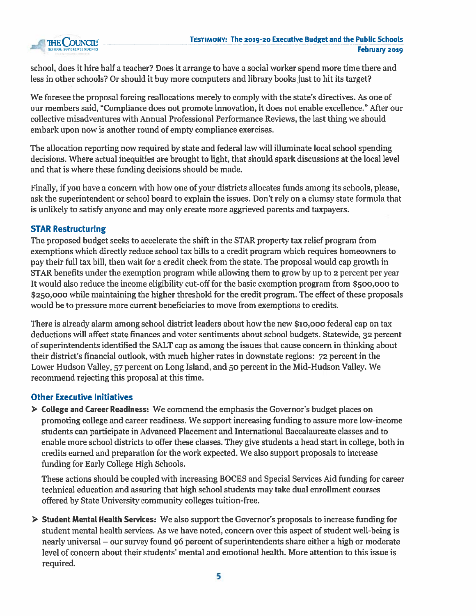

school, does it hire half <sup>a</sup> teacher? Does it arrange to have <sup>a</sup> social worker spend more time there and less in other schools? Or should it buy more computers and library books just to hit its target?

We foresee the proposal forcing reallocations merely to comply with the state's directives. As one of our members said, "Compliance does not promote innovation, it does not enable excellence." After our collective misadventures with Annual Professional Performance Reviews, the last thing we should embark upon now is another round of empty compliance exercises.

The allocation reporting now required by state and federal law will illuminate local school spending decisions. Where actual inequities are brought to light, that should spark discussions at the local level and that is where these funding decisions should be made.

Finally, if you have <sup>a</sup> concern with how one of your districts allocates funds among its schools, please, ask the superintendent or school board to explain the issues. Don't rely on <sup>a</sup> clumsy state formula that is unlikely to satisfy anyone and may only create more aggrieved parents and taxpayers.

## STAR Restructuring

The proposed budget seeks to accelerate the shift in the STAR property tax relief program from exemptions which directly reduce school tax bills to <sup>a</sup> credit program which requires homeowners to pay their full tax bill, then wait for <sup>a</sup> credit check from the state. The proposal would cap growth in STAR benefits under the exemption program while allowing them to grow by up to <sup>2</sup> percen<sup>t</sup> per year It would also reduce the income eligibility cut-off for the basic exemption program from \$500,000 to \$250,000 while maintaining the higher threshold for the credit program. The effect of these proposals would be to pressure more current beneficiaries to move from exemptions to credits.

There is already alarm among school district leaders about how the new \$io,ooo federal cap on tax deductions will affect state finances and voter sentiments about school budgets. Statewide, <sup>32</sup> percen<sup>t</sup> of superintendents identified the SALT cap as among the issues that cause concern in thinking about their district's financial outlook, with much higher rates in downstate regions: <sup>72</sup> percen<sup>t</sup> in the Lower Hudson Valley, 57 percen<sup>t</sup> on Long Island, and <sup>50</sup> percen<sup>t</sup> in the Mid-Hudson Valley. We recommend rejecting this proposal at this time.

## Other Executive Initiatives

<sup>&</sup>gt; College and Career Readiness: We commend the emphasis the Governor's budget places on promoting college and career readiness. We suppor<sup>t</sup> increasing funding to assure more low-income students can participate in Advanced Placement and International Baccalaureate classes and to enable more school districts to offer these classes. They give students <sup>a</sup> head start in college, both in credits earned and preparation for the work expected. We also suppor<sup>t</sup> proposals to increase funding for Early College High Schools.

These actions should be coupled with increasing BOCES and Special Services Aid funding for career technical education and assuring that high school students may take dual enrollment courses offered by State University community colleges tuition-free.

<sup>&</sup>gt; Student Mental Health Services: We also suppor<sup>t</sup> the Governor's proposals to increase funding for student mental health services. As we have noted, concern over this aspec<sup>t</sup> of student well-being is nearly universal — our survey found 96 percen<sup>t</sup> of superintendents share either <sup>a</sup> high or moderate level of concern about their students' mental and emotional health. More attention to this issue is required.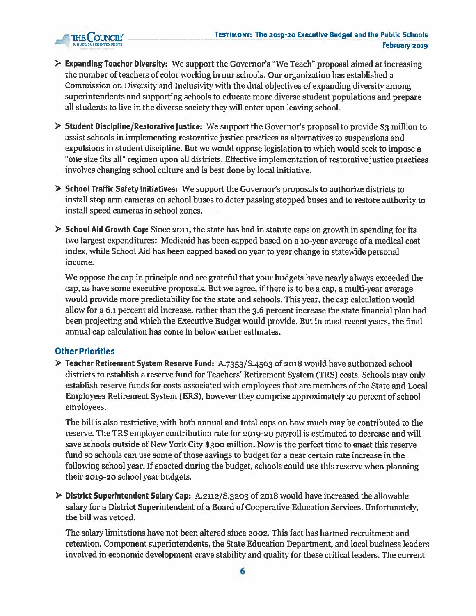

- <sup>&</sup>gt; Expanding Teacher Diversity: We suppor<sup>t</sup> the Governor's "We Teach" proposa<sup>l</sup> aimed at increasing the number of teachers of color working in our schools. Our organization has established <sup>a</sup> Commission on Diversity and Inclusivity with the dual objectives of expanding diversity among superintendents and supporting schools to educate more diverse student populations and prepare all students to live in the diverse society they will enter upon leaving school.
- $\triangleright$  Student Discipline/Restorative Justice: We support the Governor's proposal to provide \$3 million to assist schools in implementing restorative justice practices as alternatives to suspensions and expulsions in student discipline. But we would oppose legislation to which would seek to impose <sup>a</sup> "one size fits all" regimen upon all districts. Effective implementation of restorative justice practices involves changing school culture and is best done by local initiative.
- <sup>&</sup>gt; School Traffic Safety Initiatives: We suppor<sup>t</sup> the Governor's proposals to authorize districts to install stop arm cameras on school buses to deter passing stopped buses and to restore authority to install speed cameras in school zones.
- $\triangleright$  School Aid Growth Cap: Since 2011, the state has had in statute caps on growth in spending for its two largest expenditures: Medicaid has been capped based on <sup>a</sup> 10-year average of <sup>a</sup> medical cost index, while School Aid has been capped based on year to year change in statewide personal income.

We oppose the cap in principle and are grateful that your budgets have nearly always exceeded the cap, as have some executive proposals. But we agree, if there is to be <sup>a</sup> cap, <sup>a</sup> multi-year average would provide more predictability for the state and schools. This year, the cap calculation would allow for <sup>a</sup> 6.i percen<sup>t</sup> aid increase, rather than the 3.6 percen<sup>t</sup> increase the state financial plan had been projecting and which the Executive Budget would provide. But in most recent years, the final annual cap calculation has come in below earlier estimates.

#### Other Priorities

<sup>&</sup>gt; Teacher Retirement System Reserve Fund: A.7353/S.4563 of <sup>2018</sup> would have authorized school districts to establish <sup>a</sup> reserve fund for Teachers' Retirement System (TRS) costs. Schools may only establish reserve funds for costs associated with employees that are members of the State and Local Employees Retirement System (ERS), however they comprise approximately <sup>20</sup> percen<sup>t</sup> of school employees.

The bill is also restrictive, with both annual and total caps on how much may be contributed to the reserve. The TRS employer contribution rate for 2019-20 payroll is estimated to decrease and will save schools outside of New York City \$300 million. Now is the perfect time to enact this reserve fund so schools can use some of those savings to budget for <sup>a</sup> near certain rate increase in the following school year. If enacted during the budget, schools could use this reserve when planning their 2019-20 school year budgets.

<sup>&</sup>gt; District Superintendent Salary Cap: A.2112/S.32o3 of <sup>2018</sup> would have increased the allowable salary for <sup>a</sup> District Superintendent of <sup>a</sup> Board of Cooperative Education Services. Unfortunately, the bill was vetoed.

The salary limitations have not been altered since 2002. This fact has harmed recruitment and retention. Component superintendents, the State Education Department, and local business leaders involved in economic development crave stability and quality for these critical leaders. The current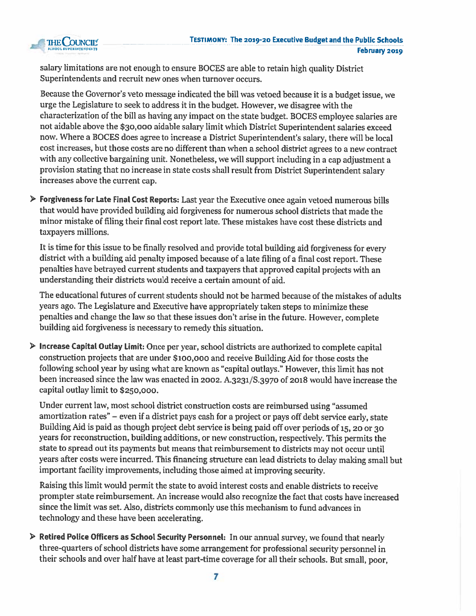

salary limitations are not enoug<sup>h</sup> to ensure BOCES are able to retain high quality District Superintendents and recruit new ones when turnover occurs.

Because the Governor's veto message indicated the bill was vetoed because it is <sup>a</sup> budget issue, we urge the Legislature to seek to address it in the budget. However, we disagree with the characterization of the bill as having any impact on the state budget. BOCES employee salaries are not aidable above the \$30,000 aidable salary limit which District Superintendent salaries exceed now. Where <sup>a</sup> BOCES does agree to increase <sup>a</sup> District Superintendent's salary, there will be local cost increases, but those costs are no different than when <sup>a</sup> school district agrees to <sup>a</sup> new contract with any collective bargaining unit. Nonetheless, we will suppor<sup>t</sup> including in <sup>a</sup> cap adjustment <sup>a</sup> provision stating that no increase in state costs shall result from District Superintendent salary increases above the current cap.

Forgiveness for Late Final Cost Reports: Last year the Executive once again vetoed numerous bills that would have provided building aid forgiveness for numerous school districts that made the minor mistake of filing their final cost repor<sup>t</sup> late. These mistakes have cost these districts and taxpayers millions.

It is time for this issue to be finally resolved and provide total building aid forgiveness for every district with <sup>a</sup> building aid penalty imposed because of <sup>a</sup> late filing of <sup>a</sup> final cost report. These penalties have betrayed current students and taxpayers that approve<sup>d</sup> capital projects with an understanding their districts would receive <sup>a</sup> certain amount of aid.

The educational futures of current students should not be harmed because of the mistakes of adults years ago. The Legislature and Executive have appropriately taken steps to minimize these penalties and change the law so that these issues don't arise in the future. However, complete building aid forgiveness is necessary to remedy this situation.

<sup>&</sup>gt; Increase Capital Outlay Limit: Once per year, school districts are authorized to complete capital construction projects that are under Sioo,00o and receive Building Aid for those costs the following school year by using what are known as "capital outlays." However, this limit has not been increased since the law was enacted in 2002. A.3231/S.3970 of <sup>2018</sup> would have increase the capital outlay limit to \$250,000.

Under current law, most school district construction costs are reimbursed using "assumed amortization rates" — even if <sup>a</sup> district pays cash for <sup>a</sup> project or pays off debt service early, state Building Aid is paid as though project debt service is being paid off over periods of 15, 20 or 30 years for reconstruction, building additions, or new construction, respectively. This permits the state to sprea<sup>d</sup> out its payments but means that reimbursement to districts may not occur until years after costs were incurred. This financing structure can lead districts to delay making small but important facility improvements, including those aimed at improving security.

Raising this limit would permit the state to avoid interest costs and enable districts to receive prompter state reimbursement. An increase would also recognize the fact that costs have increased since the limit was set. Also, districts commonly use this mechanism to fund advances in technology and these have been accelerating.

<sup>&</sup>gt; Retired Police Officers as School Security Personnel: In our annual survey, we found that nearly three-quarters of school districts have some arrangemen<sup>t</sup> for professional security personne<sup>l</sup> in their schools and over half have at least part-time coverage for all their schools. But small, poor,